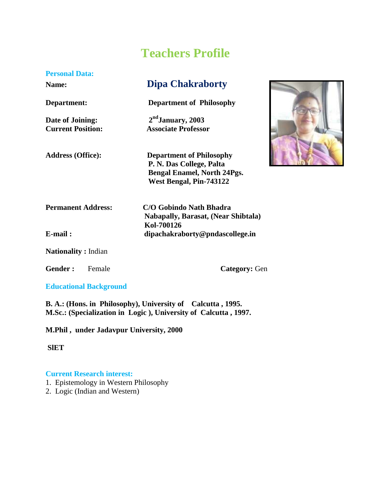# **Teachers Profile**

#### **Personal Data:**

**Date of Joining: 2ndJanuary, 2003**

**Name: Dipa Chakraborty**

**Department: Department of Philosophy**

**Current Position: Associate Professor**



**Address (Office): Department of Philosophy P. N. Das College, Palta Bengal Enamel, North 24Pgs. West Bengal, Pin-743122**

 **Nabapally, Barasat, (Near Shibtala)**

**Permanent Address: C/O Gobindo Nath Bhadra**

**E-mail : dipachakraborty@pndascollege.in**

**Nationality :** Indian

Gender : Female **Category:** Gen

### **Educational Background**

**B. A.: (Hons. in Philosophy), University of Calcutta , 1995. M.Sc.: (Specialization in Logic ), University of Calcutta , 1997.**

 **Kol-700126**

**M.Phil , under Jadavpur University, 2000**

**SlET**

### **Current Research interest:**

- 1. Epistemology in Western Philosophy
- 2. Logic (Indian and Western)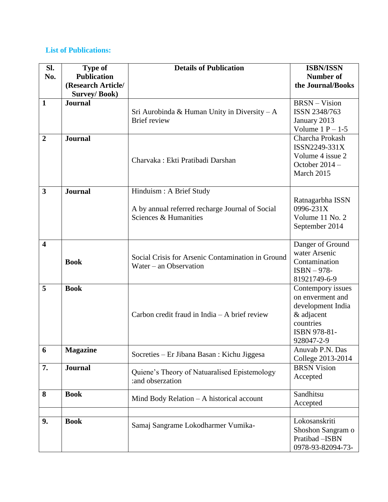## **List of Publications:**

| SI.                     | <b>Type of</b>      | <b>Details of Publication</b>                     | <b>ISBN/ISSN</b>              |  |
|-------------------------|---------------------|---------------------------------------------------|-------------------------------|--|
| No.                     | <b>Publication</b>  |                                                   | <b>Number of</b>              |  |
|                         | (Research Article/  |                                                   | the Journal/Books             |  |
|                         | <b>Survey/Book)</b> |                                                   |                               |  |
| $\mathbf{1}$            | <b>Journal</b>      |                                                   | <b>BRSN-Vision</b>            |  |
|                         |                     | Sri Aurobinda & Human Unity in Diversity $-A$     | ISSN 2348/763                 |  |
|                         |                     | Brief review                                      | January 2013                  |  |
|                         |                     |                                                   | Volume $1 P - 1-5$            |  |
| $\boldsymbol{2}$        | <b>Journal</b>      |                                                   | Charcha Prokash               |  |
|                         |                     | Charvaka: Ekti Pratibadi Darshan                  | ISSN2249-331X                 |  |
|                         |                     |                                                   | Volume 4 issue 2              |  |
|                         |                     |                                                   | October $2014 -$              |  |
|                         |                     |                                                   | March 2015                    |  |
|                         |                     |                                                   |                               |  |
| $\overline{\mathbf{3}}$ | <b>Journal</b>      | Hinduism : A Brief Study                          |                               |  |
|                         |                     | A by annual referred recharge Journal of Social   | Ratnagarbha ISSN<br>0996-231X |  |
|                         |                     | Sciences & Humanities                             | Volume 11 No. 2               |  |
|                         |                     |                                                   | September 2014                |  |
|                         |                     |                                                   |                               |  |
| $\overline{\mathbf{4}}$ |                     |                                                   | Danger of Ground              |  |
|                         | <b>Book</b>         |                                                   | water Arsenic                 |  |
|                         |                     | Social Crisis for Arsenic Contamination in Ground | Contamination                 |  |
|                         |                     | Water $-$ an Observation                          | $ISBN - 978-$                 |  |
|                         |                     |                                                   | 81921749-6-9                  |  |
| 5                       | <b>Book</b>         |                                                   | Contempory issues             |  |
|                         |                     |                                                   | on enverment and              |  |
|                         |                     |                                                   | development India             |  |
|                         |                     | Carbon credit fraud in India - A brief review     | & adjacent                    |  |
|                         |                     |                                                   | countries                     |  |
|                         |                     |                                                   | ISBN 978-81-                  |  |
| 6                       | <b>Magazine</b>     |                                                   | 928047-2-9<br>Anuvab P.N. Das |  |
|                         |                     | Socreties - Er Jibana Basan : Kichu Jiggesa       | College 2013-2014             |  |
| 7.                      | <b>Journal</b>      |                                                   | <b>BRSN</b> Vision            |  |
|                         |                     | Quiene's Theory of Natuaralised Epistemology      | Accepted                      |  |
|                         |                     | :and obserzation                                  |                               |  |
| 8                       | <b>Book</b>         |                                                   | Sandhitsu                     |  |
|                         |                     | Mind Body Relation $-$ A historical account       | Accepted                      |  |
|                         |                     |                                                   |                               |  |
| 9.                      | <b>Book</b>         | Samaj Sangrame Lokodharmer Vumika-                | Lokosanskriti                 |  |
|                         |                     |                                                   | Shoshon Sangram o             |  |
|                         |                     |                                                   | Pratibad - ISBN               |  |
|                         |                     |                                                   | 0978-93-82094-73-             |  |